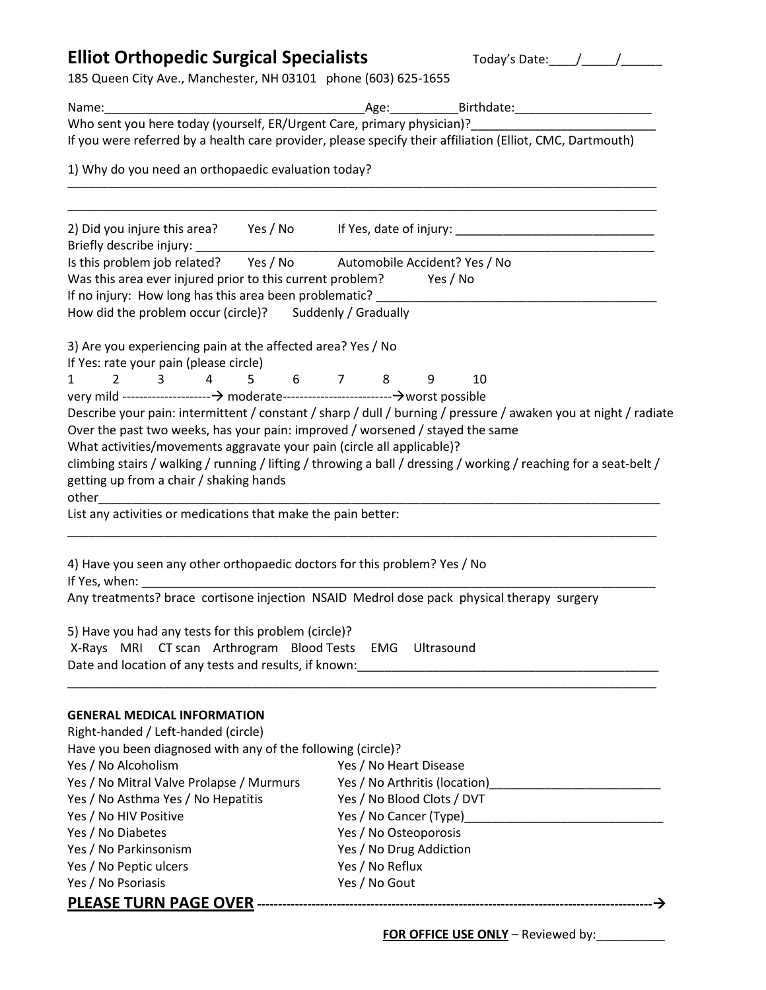## Elliot Orthopedic Surgical Specialists Today's Date:
<u>
Letter Annualisty</u>

185 Queen City Ave., Manchester, NH 03101 phone (603) 625-1655

| Name:                                                                                                                             | Age: Birthdate: Birthdate:                                                                                           |
|-----------------------------------------------------------------------------------------------------------------------------------|----------------------------------------------------------------------------------------------------------------------|
| Who sent you here today (yourself, ER/Urgent Care, primary physician)?                                                            |                                                                                                                      |
|                                                                                                                                   | If you were referred by a health care provider, please specify their affiliation (Elliot, CMC, Dartmouth)            |
| 1) Why do you need an orthopaedic evaluation today?                                                                               |                                                                                                                      |
|                                                                                                                                   |                                                                                                                      |
|                                                                                                                                   |                                                                                                                      |
|                                                                                                                                   |                                                                                                                      |
|                                                                                                                                   | 2) Did you injure this area? Yes / No If Yes, date of injury: ___________________                                    |
| Briefly describe injury: National Priefly describe injury:<br>Is this problem job related? Yes / No Automobile Accident? Yes / No |                                                                                                                      |
| Was this area ever injured prior to this current problem? Yes / No                                                                |                                                                                                                      |
| If no injury: How long has this area been problematic? _________________________                                                  |                                                                                                                      |
| How did the problem occur (circle)? Suddenly / Gradually                                                                          |                                                                                                                      |
|                                                                                                                                   |                                                                                                                      |
| 3) Are you experiencing pain at the affected area? Yes / No                                                                       |                                                                                                                      |
| If Yes: rate your pain (please circle)                                                                                            |                                                                                                                      |
| 3 4 5 6 7 8 9<br>$2 \left( \frac{1}{2} \right)$<br>$\mathbf{1}$                                                                   | 10                                                                                                                   |
|                                                                                                                                   |                                                                                                                      |
|                                                                                                                                   | Describe your pain: intermittent / constant / sharp / dull / burning / pressure / awaken you at night / radiate      |
| Over the past two weeks, has your pain: improved / worsened / stayed the same                                                     |                                                                                                                      |
| What activities/movements aggravate your pain (circle all applicable)?                                                            |                                                                                                                      |
|                                                                                                                                   | climbing stairs / walking / running / lifting / throwing a ball / dressing / working / reaching for a seat-belt /    |
| getting up from a chair / shaking hands                                                                                           |                                                                                                                      |
|                                                                                                                                   |                                                                                                                      |
| List any activities or medications that make the pain better:                                                                     |                                                                                                                      |
|                                                                                                                                   |                                                                                                                      |
|                                                                                                                                   |                                                                                                                      |
| 4) Have you seen any other orthopaedic doctors for this problem? Yes / No                                                         |                                                                                                                      |
| If Yes, when:                                                                                                                     |                                                                                                                      |
|                                                                                                                                   | Any treatments? brace cortisone injection NSAID Medrol dose pack physical therapy surgery                            |
|                                                                                                                                   |                                                                                                                      |
| 5) Have you had any tests for this problem (circle)?                                                                              |                                                                                                                      |
| X-Rays MRI CT scan Arthrogram Blood Tests EMG Ultrasound                                                                          |                                                                                                                      |
| Date and location of any tests and results, if known:                                                                             | <u> 1989 - Johann Stein, mars an deutscher Stein und der Stein und der Stein und der Stein und der Stein und der</u> |
|                                                                                                                                   |                                                                                                                      |
| <b>GENERAL MEDICAL INFORMATION</b>                                                                                                |                                                                                                                      |
| Right-handed / Left-handed (circle)                                                                                               |                                                                                                                      |
| Have you been diagnosed with any of the following (circle)?                                                                       |                                                                                                                      |
| Yes / No Alcoholism                                                                                                               | Yes / No Heart Disease                                                                                               |
| Yes / No Mitral Valve Prolapse / Murmurs                                                                                          |                                                                                                                      |
| Yes / No Asthma Yes / No Hepatitis                                                                                                | Yes / No Blood Clots / DVT                                                                                           |
| Yes / No HIV Positive                                                                                                             |                                                                                                                      |
| Yes / No Diabetes                                                                                                                 | Yes / No Osteoporosis                                                                                                |
| Yes / No Parkinsonism                                                                                                             | Yes / No Drug Addiction                                                                                              |
| Yes / No Peptic ulcers                                                                                                            | Yes / No Reflux                                                                                                      |
| Yes / No Psoriasis                                                                                                                | Yes / No Gout                                                                                                        |
|                                                                                                                                   |                                                                                                                      |
|                                                                                                                                   |                                                                                                                      |